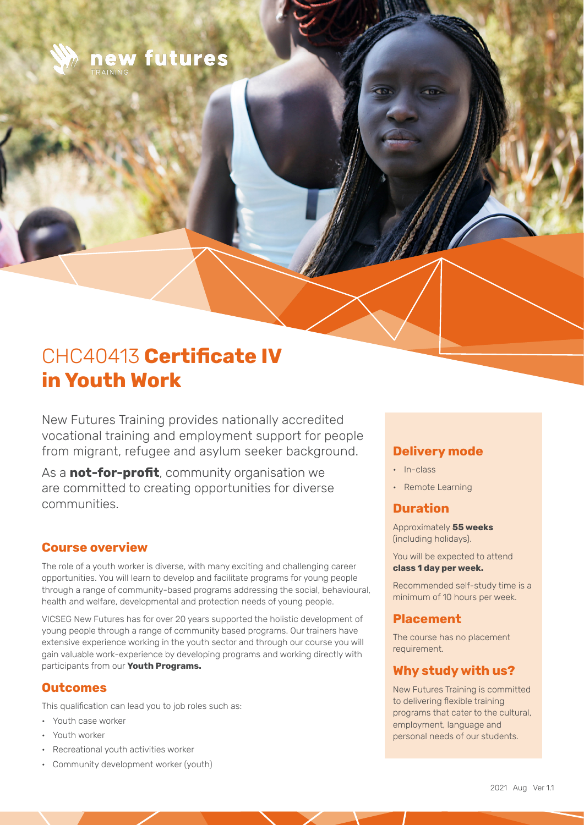

# CHC40413 **Certificate IV in Youth Work**

New Futures Training provides nationally accredited vocational training and employment support for people from migrant, refugee and asylum seeker background.

As a **not-for-profit**, community organisation we are committed to creating opportunities for diverse communities.

#### **Course overview**

The role of a youth worker is diverse, with many exciting and challenging career opportunities. You will learn to develop and facilitate programs for young people through a range of community-based programs addressing the social, behavioural, health and welfare, developmental and protection needs of young people.

VICSEG New Futures has for over 20 years supported the holistic development of young people through a range of community based programs. Our trainers have extensive experience working in the youth sector and through our course you will gain valuable work-experience by developing programs and working directly with participants from our **Youth Programs.**

#### **Outcomes**

This qualification can lead you to job roles such as:

- Youth case worker
- Youth worker
- Recreational youth activities worker
- Community development worker (youth)

# **Delivery mode**

- In-class
- Remote Learning

# **Duration**

Approximately **55 weeks** (including holidays).

You will be expected to attend **class 1 day per week.** 

Recommended self-study time is a minimum of 10 hours per week.

#### **Placement**

The course has no placement requirement.

#### **Why study with us?**

New Futures Training is committed to delivering flexible training programs that cater to the cultural, employment, language and personal needs of our students.